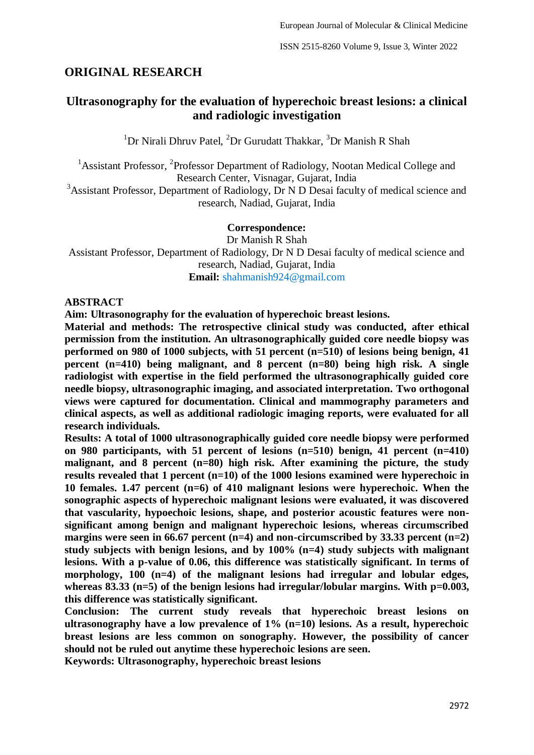## **ORIGINAL RESEARCH**

## **Ultrasonography for the evaluation of hyperechoic breast lesions: a clinical and radiologic investigation**

 $1$ Dr Nirali Dhruv Patel,  $2$ Dr Gurudatt Thakkar,  $3$ Dr Manish R Shah

<sup>1</sup> Assistant Professor, <sup>2</sup> Professor Department of Radiology, Nootan Medical College and Research Center, Visnagar, Gujarat, India

<sup>3</sup>Assistant Professor, Department of Radiology, Dr N D Desai faculty of medical science and research, Nadiad, Gujarat, India

#### **Correspondence:**

Dr Manish R Shah Assistant Professor, Department of Radiology, Dr N D Desai faculty of medical science and research, Nadiad, Gujarat, India **Email:** shahmanish924@gmail.com

#### **ABSTRACT**

**Aim: Ultrasonography for the evaluation of hyperechoic breast lesions.**

**Material and methods: The retrospective clinical study was conducted, after ethical permission from the institution. An ultrasonographically guided core needle biopsy was performed on 980 of 1000 subjects, with 51 percent (n=510) of lesions being benign, 41 percent (n=410) being malignant, and 8 percent (n=80) being high risk. A single radiologist with expertise in the field performed the ultrasonographically guided core needle biopsy, ultrasonographic imaging, and associated interpretation. Two orthogonal views were captured for documentation. Clinical and mammography parameters and clinical aspects, as well as additional radiologic imaging reports, were evaluated for all research individuals.**

**Results: A total of 1000 ultrasonographically guided core needle biopsy were performed on 980 participants, with 51 percent of lesions (n=510) benign, 41 percent (n=410) malignant, and 8 percent (n=80) high risk. After examining the picture, the study results revealed that 1 percent (n=10) of the 1000 lesions examined were hyperechoic in 10 females. 1.47 percent (n=6) of 410 malignant lesions were hyperechoic. When the sonographic aspects of hyperechoic malignant lesions were evaluated, it was discovered that vascularity, hypoechoic lesions, shape, and posterior acoustic features were nonsignificant among benign and malignant hyperechoic lesions, whereas circumscribed margins were seen in 66.67 percent (n=4) and non-circumscribed by 33.33 percent (n=2) study subjects with benign lesions, and by 100% (n=4) study subjects with malignant lesions. With a p-value of 0.06, this difference was statistically significant. In terms of morphology, 100 (n=4) of the malignant lesions had irregular and lobular edges,**  whereas 83.33 (n=5) of the benign lesions had irregular/lobular margins. With p=0.003, **this difference was statistically significant.**

**Conclusion: The current study reveals that hyperechoic breast lesions on ultrasonography have a low prevalence of 1% (n=10) lesions. As a result, hyperechoic breast lesions are less common on sonography. However, the possibility of cancer should not be ruled out anytime these hyperechoic lesions are seen.** 

**Keywords: Ultrasonography, hyperechoic breast lesions**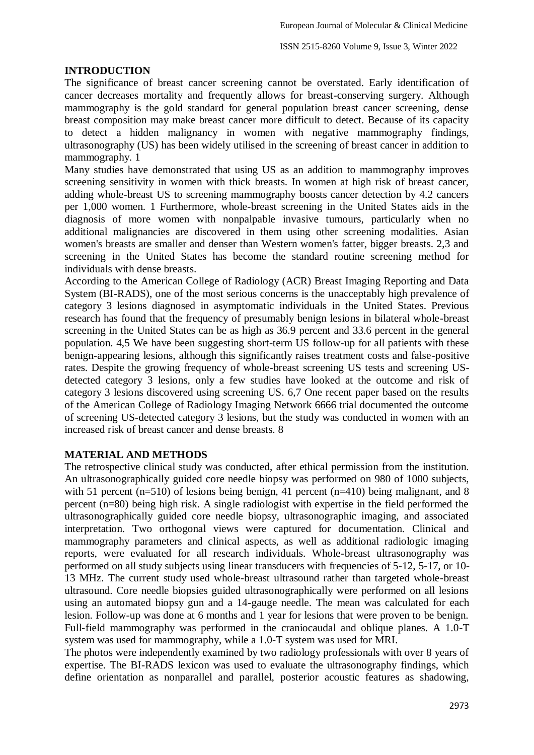#### **INTRODUCTION**

The significance of breast cancer screening cannot be overstated. Early identification of cancer decreases mortality and frequently allows for breast-conserving surgery. Although mammography is the gold standard for general population breast cancer screening, dense breast composition may make breast cancer more difficult to detect. Because of its capacity to detect a hidden malignancy in women with negative mammography findings, ultrasonography (US) has been widely utilised in the screening of breast cancer in addition to mammography. 1

Many studies have demonstrated that using US as an addition to mammography improves screening sensitivity in women with thick breasts. In women at high risk of breast cancer, adding whole-breast US to screening mammography boosts cancer detection by 4.2 cancers per 1,000 women. 1 Furthermore, whole-breast screening in the United States aids in the diagnosis of more women with nonpalpable invasive tumours, particularly when no additional malignancies are discovered in them using other screening modalities. Asian women's breasts are smaller and denser than Western women's fatter, bigger breasts. 2,3 and screening in the United States has become the standard routine screening method for individuals with dense breasts.

According to the American College of Radiology (ACR) Breast Imaging Reporting and Data System (BI-RADS), one of the most serious concerns is the unacceptably high prevalence of category 3 lesions diagnosed in asymptomatic individuals in the United States. Previous research has found that the frequency of presumably benign lesions in bilateral whole-breast screening in the United States can be as high as 36.9 percent and 33.6 percent in the general population. 4,5 We have been suggesting short-term US follow-up for all patients with these benign-appearing lesions, although this significantly raises treatment costs and false-positive rates. Despite the growing frequency of whole-breast screening US tests and screening USdetected category 3 lesions, only a few studies have looked at the outcome and risk of category 3 lesions discovered using screening US. 6,7 One recent paper based on the results of the American College of Radiology Imaging Network 6666 trial documented the outcome of screening US-detected category 3 lesions, but the study was conducted in women with an increased risk of breast cancer and dense breasts. 8

## **MATERIAL AND METHODS**

The retrospective clinical study was conducted, after ethical permission from the institution. An ultrasonographically guided core needle biopsy was performed on 980 of 1000 subjects, with 51 percent (n=510) of lesions being benign, 41 percent (n=410) being malignant, and 8 percent (n=80) being high risk. A single radiologist with expertise in the field performed the ultrasonographically guided core needle biopsy, ultrasonographic imaging, and associated interpretation. Two orthogonal views were captured for documentation. Clinical and mammography parameters and clinical aspects, as well as additional radiologic imaging reports, were evaluated for all research individuals. Whole-breast ultrasonography was performed on all study subjects using linear transducers with frequencies of 5-12, 5-17, or 10- 13 MHz. The current study used whole-breast ultrasound rather than targeted whole-breast ultrasound. Core needle biopsies guided ultrasonographically were performed on all lesions using an automated biopsy gun and a 14-gauge needle. The mean was calculated for each lesion. Follow-up was done at 6 months and 1 year for lesions that were proven to be benign. Full-field mammography was performed in the craniocaudal and oblique planes. A 1.0-T system was used for mammography, while a 1.0-T system was used for MRI.

The photos were independently examined by two radiology professionals with over 8 years of expertise. The BI-RADS lexicon was used to evaluate the ultrasonography findings, which define orientation as nonparallel and parallel, posterior acoustic features as shadowing,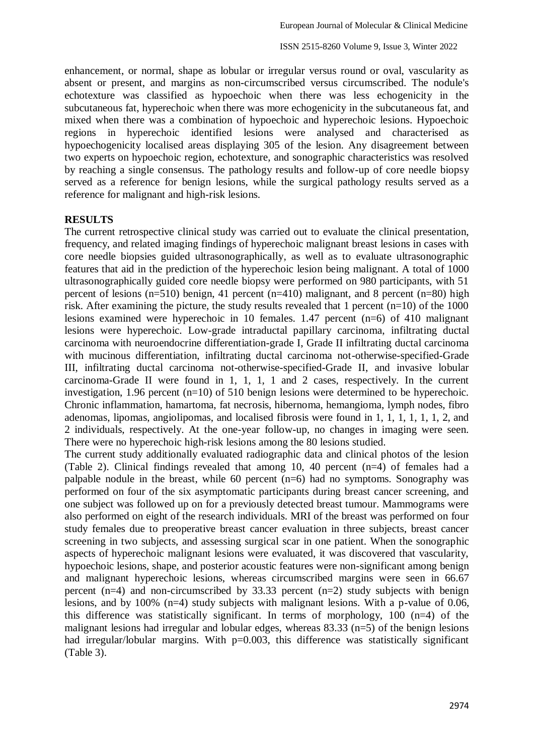enhancement, or normal, shape as lobular or irregular versus round or oval, vascularity as absent or present, and margins as non-circumscribed versus circumscribed. The nodule's echotexture was classified as hypoechoic when there was less echogenicity in the subcutaneous fat, hyperechoic when there was more echogenicity in the subcutaneous fat, and mixed when there was a combination of hypoechoic and hyperechoic lesions. Hypoechoic regions in hyperechoic identified lesions were analysed and characterised as hypoechogenicity localised areas displaying 305 of the lesion. Any disagreement between two experts on hypoechoic region, echotexture, and sonographic characteristics was resolved by reaching a single consensus. The pathology results and follow-up of core needle biopsy served as a reference for benign lesions, while the surgical pathology results served as a reference for malignant and high-risk lesions.

#### **RESULTS**

The current retrospective clinical study was carried out to evaluate the clinical presentation, frequency, and related imaging findings of hyperechoic malignant breast lesions in cases with core needle biopsies guided ultrasonographically, as well as to evaluate ultrasonographic features that aid in the prediction of the hyperechoic lesion being malignant. A total of 1000 ultrasonographically guided core needle biopsy were performed on 980 participants, with 51 percent of lesions (n=510) benign, 41 percent (n=410) malignant, and 8 percent (n=80) high risk. After examining the picture, the study results revealed that 1 percent (n=10) of the 1000 lesions examined were hyperechoic in 10 females. 1.47 percent (n=6) of 410 malignant lesions were hyperechoic. Low-grade intraductal papillary carcinoma, infiltrating ductal carcinoma with neuroendocrine differentiation-grade I, Grade II infiltrating ductal carcinoma with mucinous differentiation, infiltrating ductal carcinoma not-otherwise-specified-Grade III, infiltrating ductal carcinoma not-otherwise-specified-Grade II, and invasive lobular carcinoma-Grade II were found in 1, 1, 1, 1 and 2 cases, respectively. In the current investigation, 1.96 percent (n=10) of 510 benign lesions were determined to be hyperechoic. Chronic inflammation, hamartoma, fat necrosis, hibernoma, hemangioma, lymph nodes, fibro adenomas, lipomas, angiolipomas, and localised fibrosis were found in 1, 1, 1, 1, 1, 1, 2, and 2 individuals, respectively. At the one-year follow-up, no changes in imaging were seen. There were no hyperechoic high-risk lesions among the 80 lesions studied.

The current study additionally evaluated radiographic data and clinical photos of the lesion (Table 2). Clinical findings revealed that among 10, 40 percent (n=4) of females had a palpable nodule in the breast, while 60 percent (n=6) had no symptoms. Sonography was performed on four of the six asymptomatic participants during breast cancer screening, and one subject was followed up on for a previously detected breast tumour. Mammograms were also performed on eight of the research individuals. MRI of the breast was performed on four study females due to preoperative breast cancer evaluation in three subjects, breast cancer screening in two subjects, and assessing surgical scar in one patient. When the sonographic aspects of hyperechoic malignant lesions were evaluated, it was discovered that vascularity, hypoechoic lesions, shape, and posterior acoustic features were non-significant among benign and malignant hyperechoic lesions, whereas circumscribed margins were seen in 66.67 percent (n=4) and non-circumscribed by 33.33 percent (n=2) study subjects with benign lesions, and by 100% (n=4) study subjects with malignant lesions. With a p-value of 0.06, this difference was statistically significant. In terms of morphology, 100 (n=4) of the malignant lesions had irregular and lobular edges, whereas 83.33 (n=5) of the benign lesions had irregular/lobular margins. With p=0.003, this difference was statistically significant (Table 3).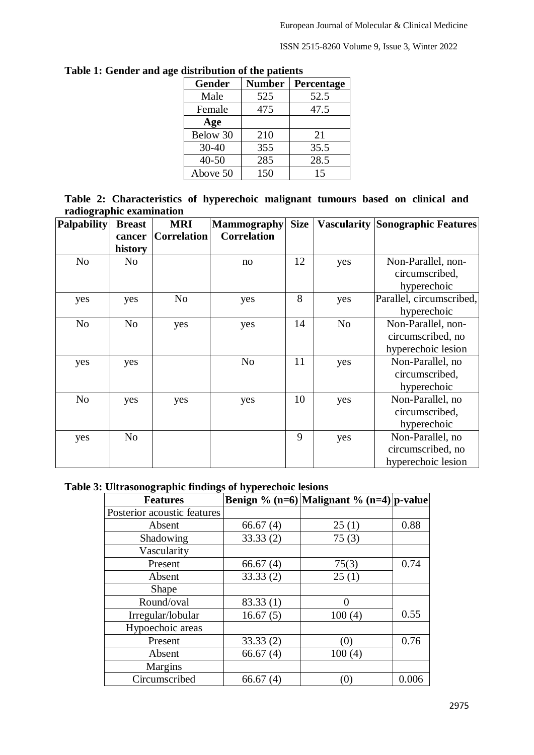ISSN 2515-8260 Volume 9, Issue 3, Winter 2022

| alstrioution of the patients |               |            |  |  |  |  |
|------------------------------|---------------|------------|--|--|--|--|
| <b>Gender</b>                | <b>Number</b> | Percentage |  |  |  |  |
| Male                         | 525           | 52.5       |  |  |  |  |
| Female                       | 475           | 47.5       |  |  |  |  |
| Age                          |               |            |  |  |  |  |
| Below 30                     | 210           | 21         |  |  |  |  |
| $30 - 40$                    | 355           | 35.5       |  |  |  |  |
| $40 - 50$                    | 285           | 28.5       |  |  |  |  |
| Above 50                     | 150           | 15         |  |  |  |  |
|                              |               |            |  |  |  |  |

| Table 1: Gender and age distribution of the patients |  |
|------------------------------------------------------|--|
|------------------------------------------------------|--|

|                          |  | Table 2: Characteristics of hyperechoic malignant tumours based on clinical and |  |  |  |
|--------------------------|--|---------------------------------------------------------------------------------|--|--|--|
| radiographic examination |  |                                                                                 |  |  |  |
|                          |  |                                                                                 |  |  |  |

| <b>Palpability</b> | <b>Breast</b>  | <b>MRI</b>         | <b>Mammography</b> | <b>Size</b> |                | <b>Vascularity Sonographic Features</b> |
|--------------------|----------------|--------------------|--------------------|-------------|----------------|-----------------------------------------|
|                    | cancer         | <b>Correlation</b> | <b>Correlation</b> |             |                |                                         |
|                    | history        |                    |                    |             |                |                                         |
| No                 | N <sub>0</sub> |                    | no                 | 12          | yes            | Non-Parallel, non-                      |
|                    |                |                    |                    |             |                | circumscribed,                          |
|                    |                |                    |                    |             |                | hyperechoic                             |
| yes                | yes            | No                 | yes                | 8           | yes            | Parallel, circumscribed,                |
|                    |                |                    |                    |             |                | hyperechoic                             |
| N <sub>o</sub>     | N <sub>o</sub> | yes                | yes                | 14          | N <sub>o</sub> | Non-Parallel, non-                      |
|                    |                |                    |                    |             |                | circumscribed, no                       |
|                    |                |                    |                    |             |                | hyperechoic lesion                      |
| yes                | yes            |                    | N <sub>o</sub>     | 11          | yes            | Non-Parallel, no                        |
|                    |                |                    |                    |             |                | circumscribed,                          |
|                    |                |                    |                    |             |                | hyperechoic                             |
| N <sub>o</sub>     | yes            | yes                | yes                | 10          | yes            | Non-Parallel, no                        |
|                    |                |                    |                    |             |                | circumscribed,                          |
|                    |                |                    |                    |             |                | hyperechoic                             |
| yes                | N <sub>o</sub> |                    |                    | 9           | yes            | Non-Parallel, no                        |
|                    |                |                    |                    |             |                | circumscribed, no                       |
|                    |                |                    |                    |             |                | hyperechoic lesion                      |

# **Table 3: Ultrasonographic findings of hyperechoic lesions**

| <b>Features</b>             |             | Benign % (n=6) Malignant % (n=4) p-value |       |  |
|-----------------------------|-------------|------------------------------------------|-------|--|
| Posterior acoustic features |             |                                          |       |  |
| Absent                      | 66.67(4)    | 25(1)                                    | 0.88  |  |
| Shadowing                   | 33.33(2)    | 75(3)                                    |       |  |
| Vascularity                 |             |                                          |       |  |
| Present                     | 66.67(4)    | 75(3)                                    | 0.74  |  |
| Absent                      | 33.33(2)    | 25(1)                                    |       |  |
| Shape                       |             |                                          |       |  |
| Round/oval                  | 83.33(1)    | 0                                        |       |  |
| Irregular/lobular           | 16.67(5)    | 100(4)                                   | 0.55  |  |
| Hypoechoic areas            |             |                                          |       |  |
| Present                     | 33.33(2)    | (0)                                      | 0.76  |  |
| Absent                      | 66.67(4)    | 100(4)                                   |       |  |
| Margins                     |             |                                          |       |  |
| Circumscribed               | 66.67 $(4)$ | $\left(0\right)$                         | 0.006 |  |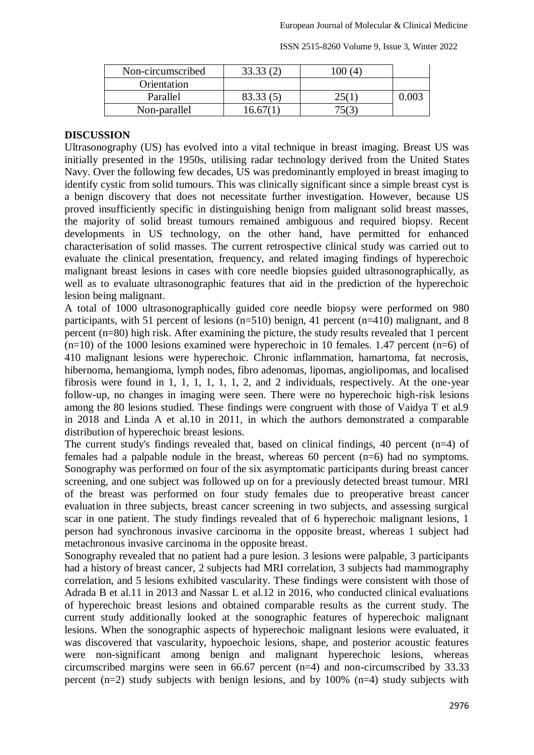| Non-circumscribed | м |  |
|-------------------|---|--|
| Orientation       |   |  |
| Parallel          |   |  |
| Non-parallel      |   |  |

ISSN 2515-8260 Volume 9, Issue 3, Winter 2022

### **DISCUSSION**

Ultrasonography (US) has evolved into a vital technique in breast imaging. Breast US was initially presented in the 1950s, utilising radar technology derived from the United States Navy. Over the following few decades, US was predominantly employed in breast imaging to identify cystic from solid tumours. This was clinically significant since a simple breast cyst is a benign discovery that does not necessitate further investigation. However, because US proved insufficiently specific in distinguishing benign from malignant solid breast masses, the majority of solid breast tumours remained ambiguous and required biopsy. Recent developments in US technology, on the other hand, have permitted for enhanced characterisation of solid masses. The current retrospective clinical study was carried out to evaluate the clinical presentation, frequency, and related imaging findings of hyperechoic malignant breast lesions in cases with core needle biopsies guided ultrasonographically, as well as to evaluate ultrasonographic features that aid in the prediction of the hyperechoic lesion being malignant.

A total of 1000 ultrasonographically guided core needle biopsy were performed on 980 participants, with 51 percent of lesions (n=510) benign, 41 percent (n=410) malignant, and 8 percent (n=80) high risk. After examining the picture, the study results revealed that 1 percent  $(n=10)$  of the 1000 lesions examined were hyperechoic in 10 females. 1.47 percent  $(n=6)$  of 410 malignant lesions were hyperechoic. Chronic inflammation, hamartoma, fat necrosis, hibernoma, hemangioma, lymph nodes, fibro adenomas, lipomas, angiolipomas, and localised fibrosis were found in 1, 1, 1, 1, 1, 1, 2, and 2 individuals, respectively. At the one-year follow-up, no changes in imaging were seen. There were no hyperechoic high-risk lesions among the 80 lesions studied. These findings were congruent with those of Vaidya T et al.9 in 2018 and Linda A et al.10 in 2011, in which the authors demonstrated a comparable distribution of hyperechoic breast lesions.

The current study's findings revealed that, based on clinical findings, 40 percent (n=4) of females had a palpable nodule in the breast, whereas 60 percent (n=6) had no symptoms. Sonography was performed on four of the six asymptomatic participants during breast cancer screening, and one subject was followed up on for a previously detected breast tumour. MRI of the breast was performed on four study females due to preoperative breast cancer evaluation in three subjects, breast cancer screening in two subjects, and assessing surgical scar in one patient. The study findings revealed that of 6 hyperechoic malignant lesions, 1 person had synchronous invasive carcinoma in the opposite breast, whereas 1 subject had metachronous invasive carcinoma in the opposite breast.

Sonography revealed that no patient had a pure lesion. 3 lesions were palpable, 3 participants had a history of breast cancer, 2 subjects had MRI correlation, 3 subjects had mammography correlation, and 5 lesions exhibited vascularity. These findings were consistent with those of Adrada B et al.11 in 2013 and Nassar L et al.12 in 2016, who conducted clinical evaluations of hyperechoic breast lesions and obtained comparable results as the current study. The current study additionally looked at the sonographic features of hyperechoic malignant lesions. When the sonographic aspects of hyperechoic malignant lesions were evaluated, it was discovered that vascularity, hypoechoic lesions, shape, and posterior acoustic features were non-significant among benign and malignant hyperechoic lesions, whereas circumscribed margins were seen in 66.67 percent (n=4) and non-circumscribed by 33.33 percent (n=2) study subjects with benign lesions, and by 100% (n=4) study subjects with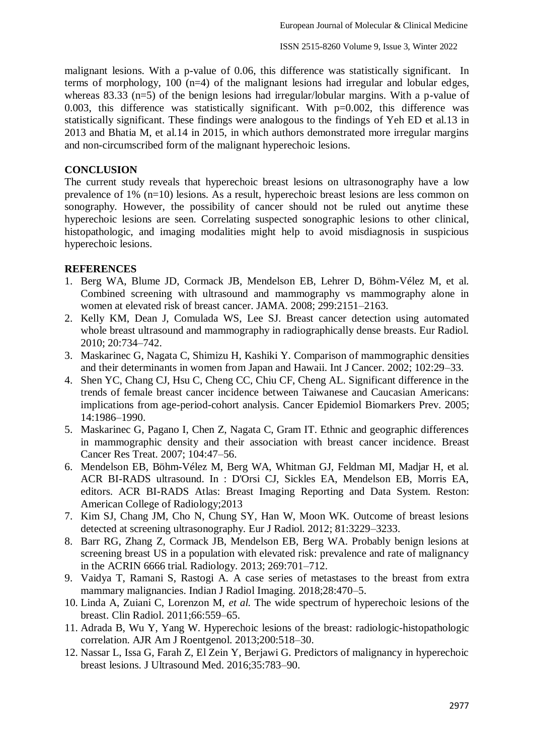malignant lesions. With a p-value of 0.06, this difference was statistically significant. In terms of morphology, 100 (n=4) of the malignant lesions had irregular and lobular edges, whereas 83.33 (n=5) of the benign lesions had irregular/lobular margins. With a p-value of 0.003, this difference was statistically significant. With  $p=0.002$ , this difference was statistically significant. These findings were analogous to the findings of Yeh ED et al.13 in 2013 and Bhatia M, et al.14 in 2015, in which authors demonstrated more irregular margins and non-circumscribed form of the malignant hyperechoic lesions.

## **CONCLUSION**

The current study reveals that hyperechoic breast lesions on ultrasonography have a low prevalence of 1% (n=10) lesions. As a result, hyperechoic breast lesions are less common on sonography. However, the possibility of cancer should not be ruled out anytime these hyperechoic lesions are seen. Correlating suspected sonographic lesions to other clinical, histopathologic, and imaging modalities might help to avoid misdiagnosis in suspicious hyperechoic lesions.

#### **REFERENCES**

- 1. Berg WA, Blume JD, Cormack JB, Mendelson EB, Lehrer D, Böhm-Vélez M, et al. Combined screening with ultrasound and mammography vs mammography alone in women at elevated risk of breast cancer. JAMA. 2008; 299:2151–2163.
- 2. Kelly KM, Dean J, Comulada WS, Lee SJ. Breast cancer detection using automated whole breast ultrasound and mammography in radiographically dense breasts. Eur Radiol. 2010; 20:734–742.
- 3. Maskarinec G, Nagata C, Shimizu H, Kashiki Y. Comparison of mammographic densities and their determinants in women from Japan and Hawaii. Int J Cancer. 2002; 102:29–33.
- 4. Shen YC, Chang CJ, Hsu C, Cheng CC, Chiu CF, Cheng AL. Significant difference in the trends of female breast cancer incidence between Taiwanese and Caucasian Americans: implications from age-period-cohort analysis. Cancer Epidemiol Biomarkers Prev. 2005; 14:1986–1990.
- 5. Maskarinec G, Pagano I, Chen Z, Nagata C, Gram IT. Ethnic and geographic differences in mammographic density and their association with breast cancer incidence. Breast Cancer Res Treat. 2007; 104:47–56.
- 6. Mendelson EB, Böhm-Vélez M, Berg WA, Whitman GJ, Feldman MI, Madjar H, et al. ACR BI-RADS ultrasound. In : D'Orsi CJ, Sickles EA, Mendelson EB, Morris EA, editors. ACR BI-RADS Atlas: Breast Imaging Reporting and Data System. Reston: American College of Radiology;2013
- 7. Kim SJ, Chang JM, Cho N, Chung SY, Han W, Moon WK. Outcome of breast lesions detected at screening ultrasonography. Eur J Radiol. 2012; 81:3229–3233.
- 8. Barr RG, Zhang Z, Cormack JB, Mendelson EB, Berg WA. Probably benign lesions at screening breast US in a population with elevated risk: prevalence and rate of malignancy in the ACRIN 6666 trial. Radiology. 2013; 269:701–712.
- 9. Vaidya T, Ramani S, Rastogi A. A case series of metastases to the breast from extra mammary malignancies. Indian J Radiol Imaging. 2018;28:470–5.
- 10. Linda A, Zuiani C, Lorenzon M, *et al.* The wide spectrum of hyperechoic lesions of the breast. Clin Radiol. 2011;66:559–65.
- 11. Adrada B, Wu Y, Yang W. Hyperechoic lesions of the breast: radiologic-histopathologic correlation. AJR Am J Roentgenol. 2013;200:518–30.
- 12. Nassar L, Issa G, Farah Z, El Zein Y, Berjawi G. Predictors of malignancy in hyperechoic breast lesions. J Ultrasound Med. 2016;35:783–90.